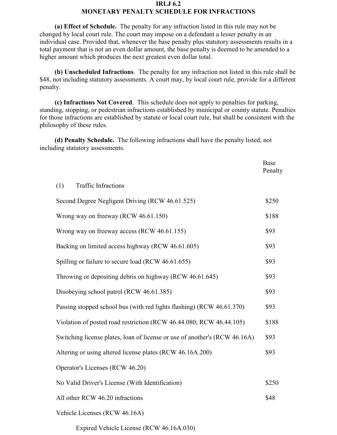## **IRLJ 6.2**

## **MONETARY PENALTY SCHEDULE FOR INFRACTIONS**

**(a) Effect of Schedule.** The penalty for any infraction listed in this rule may not be changed by local court rule. The court may impose on a defendant a lesser penalty in an individual case. Provided that, whenever the base penalty plus statutory assessments results in a total payment that is not an even dollar amount, the base penalty is deemed to be amended to a higher amount which produces the next greatest even dollar total.

**(b) Unscheduled Infractions**. The penalty for any infraction not listed in this rule shall be \$48, not including statutory assessments. A court may, by local court rule, provide for a different penalty.

**(c) Infractions Not Covered**. This schedule does not apply to penalties for parking, standing, stopping, or pedestrian infractions established by municipal or county statute. Penalties for those infractions are established by statute or local court rule, but shall be consistent with the philosophy of these rules.

**(d) Penalty Schedule.** The following infractions shall have the penalty listed, not including statutory assessments.

|                                                                            | Base<br>Penalty |
|----------------------------------------------------------------------------|-----------------|
| <b>Traffic Infractions</b><br>(1)                                          |                 |
| Second Degree Negligent Driving (RCW 46.61.525)                            | \$250           |
| Wrong way on freeway (RCW 46.61.150)                                       | \$188           |
| Wrong way on freeway access (RCW 46.61.155)                                | \$93            |
| Backing on limited access highway (RCW 46.61.605)                          | \$93            |
| Spilling or failure to secure load (RCW 46.61.655)                         | \$93            |
| Throwing or depositing debris on highway (RCW 46.61.645)                   | \$93            |
| Disobeying school patrol (RCW 46.61.385)                                   | \$93            |
| Passing stopped school bus (with red lights flashing) (RCW 46.61.370)      | \$93            |
| Violation of posted road restriction (RCW 46.44.080; RCW 46.44.105)        | \$188           |
| Switching license plates, loan of license or use of another's (RCW 46.16A) | \$93            |
| Altering or using altered license plates (RCW 46.16A.200)                  | \$93            |
| Operator's Licenses (RCW 46.20)                                            |                 |
| No Valid Driver's License (With Identification)                            | \$250           |
| All other RCW 46.20 infractions                                            | \$48            |
| Vehicle Licenses (RCW 46.16A)                                              |                 |

Expired Vehicle License (RCW 46.16A.030)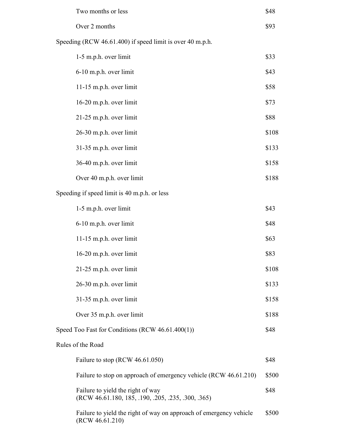| Two months or less                                                                      | \$48  |
|-----------------------------------------------------------------------------------------|-------|
| Over 2 months                                                                           | \$93  |
| Speeding (RCW 46.61.400) if speed limit is over 40 m.p.h.                               |       |
| 1-5 m.p.h. over limit                                                                   | \$33  |
| 6-10 m.p.h. over limit                                                                  | \$43  |
| $11-15$ m.p.h. over limit                                                               | \$58  |
| 16-20 m.p.h. over limit                                                                 | \$73  |
| 21-25 m.p.h. over limit                                                                 | \$88  |
| 26-30 m.p.h. over limit                                                                 | \$108 |
| 31-35 m.p.h. over limit                                                                 | \$133 |
| 36-40 m.p.h. over limit                                                                 | \$158 |
| Over 40 m.p.h. over limit                                                               | \$188 |
| Speeding if speed limit is 40 m.p.h. or less                                            |       |
| 1-5 m.p.h. over limit                                                                   | \$43  |
| 6-10 m.p.h. over limit                                                                  | \$48  |
| 11-15 m.p.h. over limit                                                                 | \$63  |
| 16-20 m.p.h. over limit                                                                 | \$83  |
| 21-25 m.p.h. over limit                                                                 | \$108 |
| 26-30 m.p.h. over limit                                                                 | \$133 |
| 31-35 m.p.h. over limit                                                                 | \$158 |
| Over 35 m.p.h. over limit                                                               | \$188 |
| Speed Too Fast for Conditions (RCW 46.61.400(1))                                        | \$48  |
| Rules of the Road                                                                       |       |
| Failure to stop (RCW 46.61.050)                                                         | \$48  |
| Failure to stop on approach of emergency vehicle (RCW 46.61.210)                        | \$500 |
| Failure to yield the right of way<br>(RCW 46.61.180, 185, .190, .205, .235, .300, .365) | \$48  |
| Failure to yield the right of way on approach of emergency vehicle<br>(RCW 46.61.210)   | \$500 |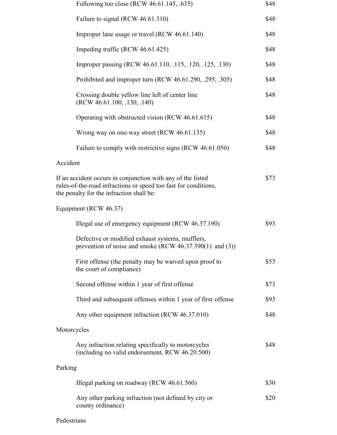|             | Following too close (RCW 46.61.145, .635)                                                                                                                                          | \$48 |  |
|-------------|------------------------------------------------------------------------------------------------------------------------------------------------------------------------------------|------|--|
|             | Failure to signal (RCW 46.61.310)                                                                                                                                                  | \$48 |  |
|             | Improper lane usage or travel (RCW 46.61.140)                                                                                                                                      | \$48 |  |
|             | Impeding traffic (RCW 46.61.425)                                                                                                                                                   | \$48 |  |
|             | Improper passing (RCW 46.61.110, .115, .120, .125, .130)                                                                                                                           | \$48 |  |
|             | Prohibited and improper turn (RCW 46.61.290, .295, .305)                                                                                                                           | \$48 |  |
|             | Crossing double yellow line left of center line<br>(RCW 46.61.100, .130, .140)                                                                                                     | \$48 |  |
|             | Operating with obstructed vision (RCW 46.61.615)                                                                                                                                   | \$48 |  |
|             | Wrong way on one-way street (RCW 46.61.135)                                                                                                                                        | \$48 |  |
|             | Failure to comply with restrictive signs (RCW 46.61.050)                                                                                                                           | \$48 |  |
| Accident    |                                                                                                                                                                                    |      |  |
|             | If an accident occurs in conjunction with any of the listed<br>\$73<br>rules-of-the-road infractions or speed too fast for conditions,<br>the penalty for the infraction shall be: |      |  |
|             | Equipment (RCW 46.37)                                                                                                                                                              |      |  |
|             | Illegal use of emergency equipment (RCW 46.37.190)                                                                                                                                 | \$93 |  |
|             | Defective or modified exhaust systems, mufflers,<br>prevention of noise and smoke (RCW $46.37.390(1)$ and (3))                                                                     |      |  |
|             | First offense (the penalty may be waived upon proof to<br>the court of compliance)                                                                                                 | \$53 |  |
|             | Second offense within 1 year of first offense                                                                                                                                      | \$73 |  |
|             | Third and subsequent offenses within 1 year of first offense                                                                                                                       | \$93 |  |
|             | Any other equipment infraction (RCW 46.37.010)                                                                                                                                     | \$48 |  |
| Motorcycles |                                                                                                                                                                                    |      |  |
|             | Any infraction relating specifically to motorcycles<br>(including no valid endorsement, RCW 46.20.500)                                                                             | \$48 |  |
| Parking     |                                                                                                                                                                                    |      |  |
|             | Illegal parking on roadway (RCW 46.61.560)                                                                                                                                         | \$30 |  |
|             | Any other parking infraction (not defined by city or<br>county ordinance)                                                                                                          | \$20 |  |

## Pedestrians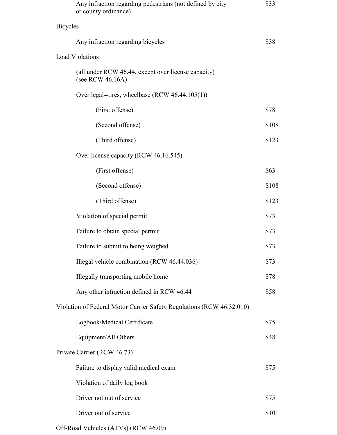|                             | Any infraction regarding pedestrians (not defined by city<br>or county ordinance) | \$33  |
|-----------------------------|-----------------------------------------------------------------------------------|-------|
| <b>Bicycles</b>             |                                                                                   |       |
|                             | Any infraction regarding bicycles                                                 | \$38  |
|                             | <b>Load Violations</b>                                                            |       |
|                             | (all under RCW 46.44, except over license capacity)<br>(see RCW 46.16A)           |       |
|                             | Over legal--tires, wheelbase (RCW 46.44.105(1))                                   |       |
|                             | (First offense)                                                                   | \$78  |
|                             | (Second offense)                                                                  | \$108 |
|                             | (Third offense)                                                                   | \$123 |
|                             | Over license capacity (RCW 46.16.545)                                             |       |
|                             | (First offense)                                                                   | \$63  |
|                             | (Second offense)                                                                  | \$108 |
|                             | (Third offense)                                                                   | \$123 |
|                             | Violation of special permit                                                       | \$73  |
|                             | Failure to obtain special permit                                                  | \$73  |
|                             | Failure to submit to being weighed                                                | \$73  |
|                             | Illegal vehicle combination (RCW 46.44.036)                                       | \$73  |
|                             | Illegally transporting mobile home                                                | \$78  |
|                             | Any other infraction defined in RCW 46.44                                         | \$58  |
|                             | Violation of Federal Motor Carrier Safety Regulations (RCW 46.32.010)             |       |
|                             | Logbook/Medical Certificate                                                       | \$75  |
|                             | Equipment/All Others                                                              | \$48  |
| Private Carrier (RCW 46.73) |                                                                                   |       |
|                             | Failure to display valid medical exam                                             | \$75  |
|                             | Violation of daily log book                                                       |       |
|                             | Driver not out of service                                                         | \$75  |
|                             | Driver out of service                                                             | \$101 |
|                             |                                                                                   |       |

Off-Road Vehicles (ATVs) (RCW 46.09)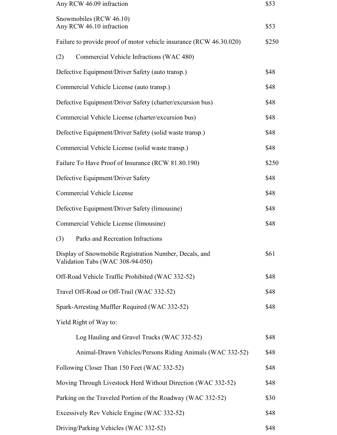| Any RCW 46.09 infraction                                                                   | \$53  |
|--------------------------------------------------------------------------------------------|-------|
| Snowmobiles (RCW 46.10)<br>Any RCW 46.10 infraction                                        | \$53  |
| Failure to provide proof of motor vehicle insurance (RCW 46.30.020)                        | \$250 |
| Commercial Vehicle Infractions (WAC 480)<br>(2)                                            |       |
| Defective Equipment/Driver Safety (auto transp.)                                           | \$48  |
| Commercial Vehicle License (auto transp.)                                                  | \$48  |
| Defective Equipment/Driver Safety (charter/excursion bus)                                  | \$48  |
| Commercial Vehicle License (charter/excursion bus)                                         | \$48  |
| Defective Equipment/Driver Safety (solid waste transp.)                                    | \$48  |
| Commercial Vehicle License (solid waste transp.)                                           | \$48  |
| Failure To Have Proof of Insurance (RCW 81.80.190)                                         | \$250 |
| Defective Equipment/Driver Safety                                                          | \$48  |
| <b>Commercial Vehicle License</b>                                                          | \$48  |
| Defective Equipment/Driver Safety (limousine)                                              | \$48  |
| Commercial Vehicle License (limousine)                                                     | \$48  |
| Parks and Recreation Infractions<br>(3)                                                    |       |
| Display of Snowmobile Registration Number, Decals, and<br>Validation Tabs (WAC 308-94-050) | \$61  |
| Off-Road Vehicle Traffic Prohibited (WAC 332-52)                                           | \$48  |
| Travel Off-Road or Off-Trail (WAC 332-52)                                                  | \$48  |
| Spark-Arresting Muffler Required (WAC 332-52)                                              | \$48  |
| Yield Right of Way to:                                                                     |       |
| Log Hauling and Gravel Trucks (WAC 332-52)                                                 | \$48  |
| Animal-Drawn Vehicles/Persons Riding Animals (WAC 332-52)                                  | \$48  |
| Following Closer Than 150 Feet (WAC 332-52)                                                | \$48  |
| Moving Through Livestock Herd Without Direction (WAC 332-52)                               | \$48  |
| Parking on the Traveled Portion of the Roadway (WAC 332-52)                                | \$30  |
| Excessively Rev Vehicle Engine (WAC 332-52)                                                | \$48  |
| Driving/Parking Vehicles (WAC 332-52)                                                      | \$48  |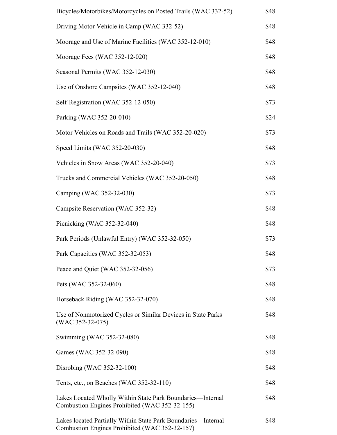| Bicycles/Motorbikes/Motorcycles on Posted Trails (WAC 332-52)                                                   | \$48 |
|-----------------------------------------------------------------------------------------------------------------|------|
| Driving Motor Vehicle in Camp (WAC 332-52)                                                                      | \$48 |
| Moorage and Use of Marine Facilities (WAC 352-12-010)                                                           | \$48 |
| Moorage Fees (WAC 352-12-020)                                                                                   | \$48 |
| Seasonal Permits (WAC 352-12-030)                                                                               | \$48 |
| Use of Onshore Campsites (WAC 352-12-040)                                                                       | \$48 |
| Self-Registration (WAC 352-12-050)                                                                              | \$73 |
| Parking (WAC 352-20-010)                                                                                        | \$24 |
| Motor Vehicles on Roads and Trails (WAC 352-20-020)                                                             | \$73 |
| Speed Limits (WAC 352-20-030)                                                                                   | \$48 |
| Vehicles in Snow Areas (WAC 352-20-040)                                                                         | \$73 |
| Trucks and Commercial Vehicles (WAC 352-20-050)                                                                 | \$48 |
| Camping (WAC 352-32-030)                                                                                        | \$73 |
| Campsite Reservation (WAC 352-32)                                                                               | \$48 |
| Picnicking (WAC 352-32-040)                                                                                     | \$48 |
| Park Periods (Unlawful Entry) (WAC 352-32-050)                                                                  | \$73 |
| Park Capacities (WAC 352-32-053)                                                                                | \$48 |
| Peace and Quiet (WAC 352-32-056)                                                                                | \$73 |
| Pets (WAC 352-32-060)                                                                                           | \$48 |
| Horseback Riding (WAC 352-32-070)                                                                               | \$48 |
| Use of Nonmotorized Cycles or Similar Devices in State Parks<br>$(WAC 352-32-075)$                              | \$48 |
| Swimming (WAC 352-32-080)                                                                                       | \$48 |
| Games (WAC 352-32-090)                                                                                          | \$48 |
| Disrobing (WAC 352-32-100)                                                                                      | \$48 |
| Tents, etc., on Beaches (WAC 352-32-110)                                                                        | \$48 |
| Lakes Located Wholly Within State Park Boundaries—Internal<br>Combustion Engines Prohibited (WAC 352-32-155)    | \$48 |
| Lakes located Partially Within State Park Boundaries—Internal<br>Combustion Engines Prohibited (WAC 352-32-157) | \$48 |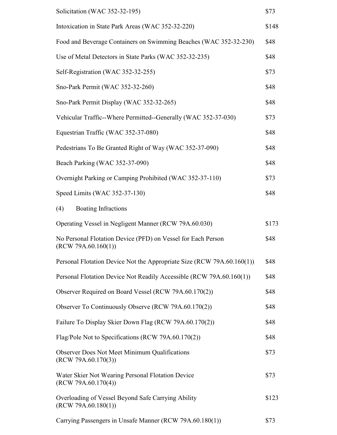| Solicitation (WAC 352-32-195)                                                       | \$73  |
|-------------------------------------------------------------------------------------|-------|
| Intoxication in State Park Areas (WAC 352-32-220)                                   | \$148 |
| Food and Beverage Containers on Swimming Beaches (WAC 352-32-230)                   | \$48  |
| Use of Metal Detectors in State Parks (WAC 352-32-235)                              | \$48  |
| Self-Registration (WAC 352-32-255)                                                  | \$73  |
| Sno-Park Permit (WAC 352-32-260)                                                    | \$48  |
| Sno-Park Permit Display (WAC 352-32-265)                                            | \$48  |
| Vehicular Traffic--Where Permitted--Generally (WAC 352-37-030)                      | \$73  |
| Equestrian Traffic (WAC 352-37-080)                                                 | \$48  |
| Pedestrians To Be Granted Right of Way (WAC 352-37-090)                             | \$48  |
| Beach Parking (WAC 352-37-090)                                                      | \$48  |
| Overnight Parking or Camping Prohibited (WAC 352-37-110)                            | \$73  |
| Speed Limits (WAC 352-37-130)                                                       | \$48  |
| <b>Boating Infractions</b><br>(4)                                                   |       |
| Operating Vessel in Negligent Manner (RCW 79A.60.030)                               | \$173 |
| No Personal Flotation Device (PFD) on Vessel for Each Person<br>(RCW 79A.60.160(1)) | \$48  |
| Personal Flotation Device Not the Appropriate Size (RCW 79A.60.160(1))              | \$48  |
| Personal Flotation Device Not Readily Accessible (RCW 79A.60.160(1))                | \$48  |
| Observer Required on Board Vessel (RCW 79A.60.170(2))                               | \$48  |
| Observer To Continuously Observe (RCW 79A.60.170(2))                                | \$48  |
| Failure To Display Skier Down Flag (RCW 79A.60.170(2))                              | \$48  |
| Flag/Pole Not to Specifications (RCW 79A.60.170(2))                                 | \$48  |
| <b>Observer Does Not Meet Minimum Qualifications</b><br>(RCW 79A.60.170(3))         | \$73  |
| Water Skier Not Wearing Personal Flotation Device<br>(RCW 79A.60.170(4))            | \$73  |
| Overloading of Vessel Beyond Safe Carrying Ability<br>(RCW 79A.60.180(1))           | \$123 |
| Carrying Passengers in Unsafe Manner (RCW 79A.60.180(1))                            | \$73  |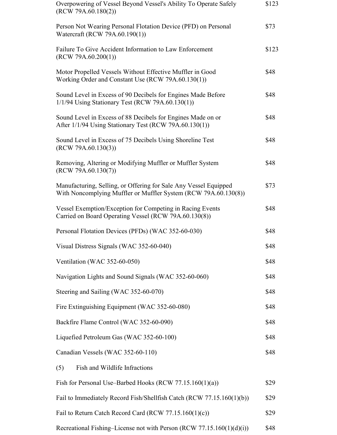| Overpowering of Vessel Beyond Vessel's Ability To Operate Safely<br>(RCW 79A.60.180(2))                                             | \$123 |
|-------------------------------------------------------------------------------------------------------------------------------------|-------|
| Person Not Wearing Personal Flotation Device (PFD) on Personal<br>Watercraft (RCW 79A.60.190(1))                                    | \$73  |
| Failure To Give Accident Information to Law Enforcement<br>(RCW 79A.60.200(1))                                                      | \$123 |
| Motor Propelled Vessels Without Effective Muffler in Good<br>Working Order and Constant Use (RCW 79A.60.130(1))                     | \$48  |
| Sound Level in Excess of 90 Decibels for Engines Made Before<br>$1/1/94$ Using Stationary Test (RCW 79A.60.130(1))                  | \$48  |
| Sound Level in Excess of 88 Decibels for Engines Made on or<br>After 1/1/94 Using Stationary Test (RCW 79A.60.130(1))               | \$48  |
| Sound Level in Excess of 75 Decibels Using Shoreline Test<br>(RCW 79A.60.130(3))                                                    | \$48  |
| Removing, Altering or Modifying Muffler or Muffler System<br>(RCW 79A.60.130(7))                                                    | \$48  |
| Manufacturing, Selling, or Offering for Sale Any Vessel Equipped<br>With Noncomplying Muffler or Muffler System (RCW 79A.60.130(8)) | \$73  |
| Vessel Exemption/Exception for Competing in Racing Events<br>Carried on Board Operating Vessel (RCW 79A.60.130(8))                  | \$48  |
| Personal Flotation Devices (PFDs) (WAC 352-60-030)                                                                                  | \$48  |
| Visual Distress Signals (WAC 352-60-040)                                                                                            | \$48  |
| Ventilation (WAC 352-60-050)                                                                                                        | \$48  |
| Navigation Lights and Sound Signals (WAC 352-60-060)                                                                                | \$48  |
| Steering and Sailing (WAC 352-60-070)                                                                                               | \$48  |
| Fire Extinguishing Equipment (WAC 352-60-080)                                                                                       | \$48  |
| Backfire Flame Control (WAC 352-60-090)                                                                                             | \$48  |
| Liquefied Petroleum Gas (WAC 352-60-100)                                                                                            | \$48  |
| Canadian Vessels (WAC 352-60-110)                                                                                                   | \$48  |
| Fish and Wildlife Infractions<br>(5)                                                                                                |       |
| Fish for Personal Use–Barbed Hooks (RCW $77.15.160(1)(a)$ )                                                                         | \$29  |
| Fail to Immediately Record Fish/Shellfish Catch (RCW 77.15.160(1)(b))                                                               | \$29  |
| Fail to Return Catch Record Card (RCW 77.15.160(1)(c))                                                                              | \$29  |
| Recreational Fishing–License not with Person (RCW 77.15.160(1)(d)(i))                                                               | \$48  |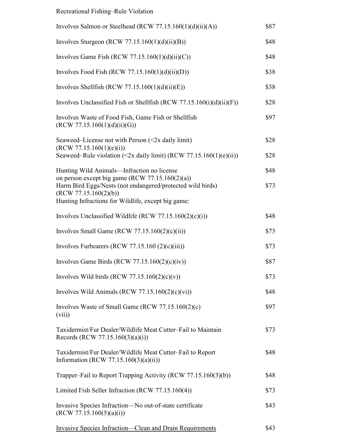## Recreational Fishing–Rule Violation

| Involves Salmon or Steelhead (RCW $77.15.160(1)(d)(ii)(A)$ )                                        | \$87 |
|-----------------------------------------------------------------------------------------------------|------|
| Involves Sturgeon (RCW 77.15.160(1)(d)(ii)(B))                                                      | \$48 |
| Involves Game Fish (RCW 77.15.160(1)(d)(ii)(C))                                                     | \$48 |
| Involves Food Fish (RCW 77.15.160(1)(d)(ii)(D))                                                     | \$38 |
| Involves Shellfish (RCW 77.15.160(1)(d)(ii)(E))                                                     | \$38 |
| Involves Unclassified Fish or Shellfish (RCW 77.15.160(i)(d)(ii)(F))                                | \$28 |
| Involves Waste of Food Fish, Game Fish or Shellfish<br>(RCW 77.15.160(1)(d)(ii)(G))                 | \$97 |
| Seaweed–License not with Person $(\leq 2x)$ daily limit)<br>(RCW 77.15.160(1)(e)(i))                | \$28 |
| Seaweed–Rule violation (<2x daily limit) (RCW 77.15.160(1)(e)(ii))                                  | \$28 |
| Hunting Wild Animals—Infraction no license<br>on person except big game (RCW $77.15.160(2)(a)$ )    | \$48 |
| Harm Bird Eggs/Nests (not endangered/protected wild birds)<br>(RCW 77.15.160(2)(b))                 | \$73 |
| Hunting Infractions for Wildlife, except big game:                                                  |      |
| Involves Unclassified Wildlife (RCW $77.15.160(2)(c)(i)$ )                                          | \$48 |
| Involves Small Game (RCW $77.15.160(2)(c)(ii)$ )                                                    | \$73 |
| Involves Furbearers (RCW 77.15.160 $(2)(c)(iii)$ )                                                  | \$73 |
| Involves Game Birds (RCW 77.15.160 $(2)(c)(iv)$ )                                                   | \$87 |
| Involves Wild birds (RCW 77.15.160(2)(c)(v))                                                        | \$73 |
| Involves Wild Animals (RCW 77.15.160 $(2)(c)(vi)$ )                                                 | \$48 |
| Involves Waste of Small Game (RCW $77.15.160(2)(c)$ )<br>(vii)                                      | \$97 |
| Taxidermist/Fur Dealer/Wildlife Meat Cutter-Fail to Maintain<br>Records (RCW 77.15.160(3)(a)(i))    | \$73 |
| Taxidermist/Fur Dealer/Wildlife Meat Cutter-Fail to Report<br>Information (RCW 77.15.160(3)(a)(ii)) | \$48 |
| Trapper-Fail to Report Trapping Activity (RCW 77.15.160(3)(b))                                      | \$48 |
| Limited Fish Seller Infraction (RCW 77.15.160(4))                                                   | \$73 |
| Invasive Species Infraction-No out-of-state certificate<br>(RCW 77.15.160(5)(a)(i))                 | \$43 |
| <b>Invasive Species Infraction—Clean and Drain Requirements</b>                                     | \$43 |